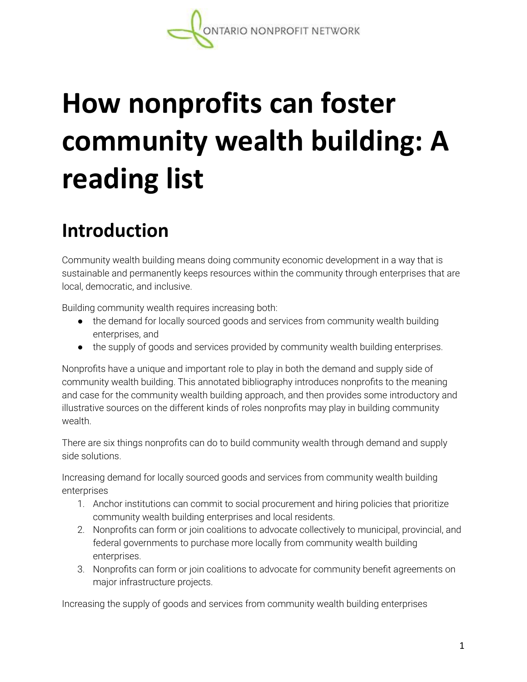# **How nonprofits can foster community wealth building: A reading list**

## **Introduction**

Community wealth building means doing community economic development in a way that is sustainable and permanently keeps resources within the community through enterprises that are local, democratic, and inclusive.

Building community wealth requires increasing both:

- the demand for locally sourced goods and services from community wealth building enterprises, and
- the supply of goods and services provided by community wealth building enterprises.

Nonprofits have a unique and important role to play in both the demand and supply side of community wealth building. This annotated bibliography introduces nonprofits to the meaning and case for the community wealth building approach, and then provides some introductory and illustrative sources on the different kinds of roles nonprofits may play in building community wealth.

There are six things nonprofits can do to build community wealth through demand and supply side solutions.

Increasing demand for locally sourced goods and services from community wealth building enterprises

- 1. Anchor institutions can commit to social procurement and hiring policies that prioritize community wealth building enterprises and local residents.
- 2. Nonprofits can form or join coalitions to advocate collectively to municipal, provincial, and federal governments to purchase more locally from community wealth building enterprises.
- 3. Nonprofits can form or join coalitions to advocate for community benefit agreements on major infrastructure projects.

Increasing the supply of goods and services from community wealth building enterprises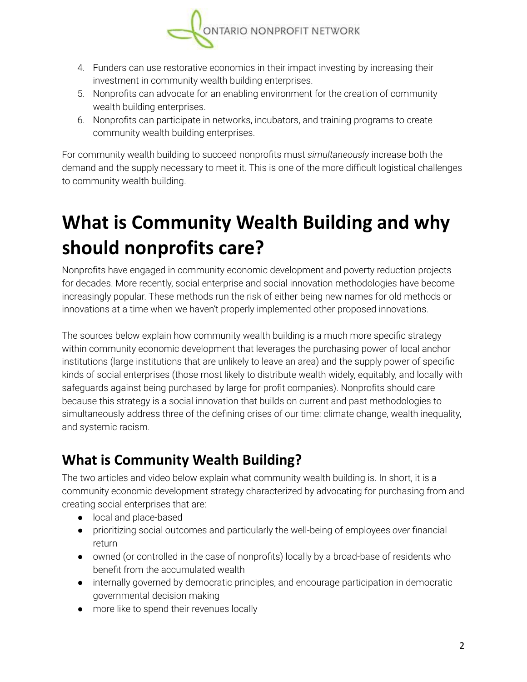

- 4. Funders can use restorative economics in their impact investing by increasing their investment in community wealth building enterprises.
- 5. Nonprofits can advocate for an enabling environment for the creation of community wealth building enterprises.
- 6. Nonprofits can participate in networks, incubators, and training programs to create community wealth building enterprises.

For community wealth building to succeed nonprofits must *simultaneously* increase both the demand and the supply necessary to meet it. This is one of the more difficult logistical challenges to community wealth building.

# **What is Community Wealth Building and why should nonprofits care?**

Nonprofits have engaged in community economic development and poverty reduction projects for decades. More recently, social enterprise and social innovation methodologies have become increasingly popular. These methods run the risk of either being new names for old methods or innovations at a time when we haven't properly implemented other proposed innovations.

The sources below explain how community wealth building is a much more specific strategy within community economic development that leverages the purchasing power of local anchor institutions (large institutions that are unlikely to leave an area) and the supply power of specific kinds of social enterprises (those most likely to distribute wealth widely, equitably, and locally with safeguards against being purchased by large for-profit companies). Nonprofits should care because this strategy is a social innovation that builds on current and past methodologies to simultaneously address three of the defining crises of our time: climate change, wealth inequality, and systemic racism.

#### **What is Community Wealth Building?**

The two articles and video below explain what community wealth building is. In short, it is a community economic development strategy characterized by advocating for purchasing from and creating social enterprises that are:

- local and place-based
- prioritizing social outcomes and particularly the well-being of employees *over* financial return
- owned (or controlled in the case of nonprofits) locally by a broad-base of residents who benefit from the accumulated wealth
- internally governed by democratic principles, and encourage participation in democratic governmental decision making
- more like to spend their revenues locally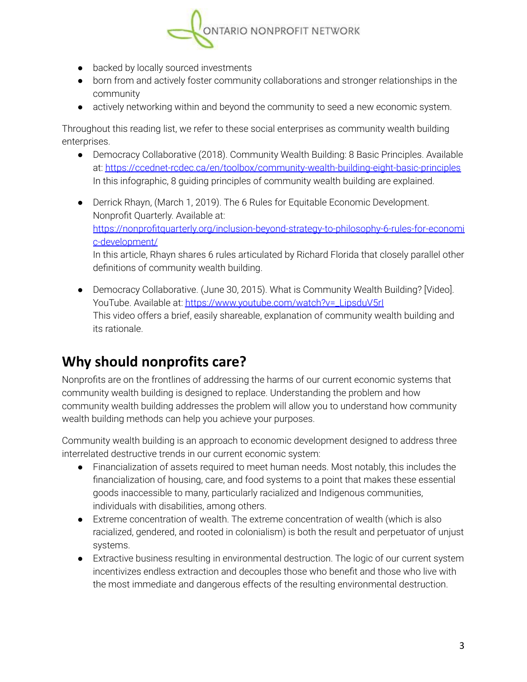

- backed by locally sourced investments
- born from and actively foster community collaborations and stronger relationships in the community
- actively networking within and beyond the community to seed a new economic system.

Throughout this reading list, we refer to these social enterprises as community wealth building enterprises.

- Democracy Collaborative (2018). Community Wealth Building: 8 Basic Principles. Available at: <https://ccednet-rcdec.ca/en/toolbox/community-wealth-building-eight-basic-principles> In this infographic, 8 guiding principles of community wealth building are explained.
- Derrick Rhayn, (March 1, 2019). The 6 Rules for Equitable Economic Development. Nonprofit Quarterly. Available at: [https://nonprofitquarterly.org/inclusion-beyond-strategy-to-philosophy-6-rules-for-economi](https://nonprofitquarterly.org/inclusion-beyond-strategy-to-philosophy-6-rules-for-economic-development/) [c-development/](https://nonprofitquarterly.org/inclusion-beyond-strategy-to-philosophy-6-rules-for-economic-development/) In this article, Rhayn shares 6 rules articulated by Richard Florida that closely parallel other definitions of community wealth building.
- Democracy Collaborative. (June 30, 2015). What is Community Wealth Building? [Video]. YouTube. Available at: https://www.youtube.com/watch?v=\_LipsduV5rl This video offers a brief, easily shareable, explanation of community wealth building and its rationale.

#### **Why should nonprofits care?**

Nonprofits are on the frontlines of addressing the harms of our current economic systems that community wealth building is designed to replace. Understanding the problem and how community wealth building addresses the problem will allow you to understand how community wealth building methods can help you achieve your purposes.

Community wealth building is an approach to economic development designed to address three interrelated destructive trends in our current economic system:

- Financialization of assets required to meet human needs. Most notably, this includes the financialization of housing, care, and food systems to a point that makes these essential goods inaccessible to many, particularly racialized and Indigenous communities, individuals with disabilities, among others.
- Extreme concentration of wealth. The extreme concentration of wealth (which is also racialized, gendered, and rooted in colonialism) is both the result and perpetuator of unjust systems.
- Extractive business resulting in environmental destruction. The logic of our current system incentivizes endless extraction and decouples those who benefit and those who live with the most immediate and dangerous effects of the resulting environmental destruction.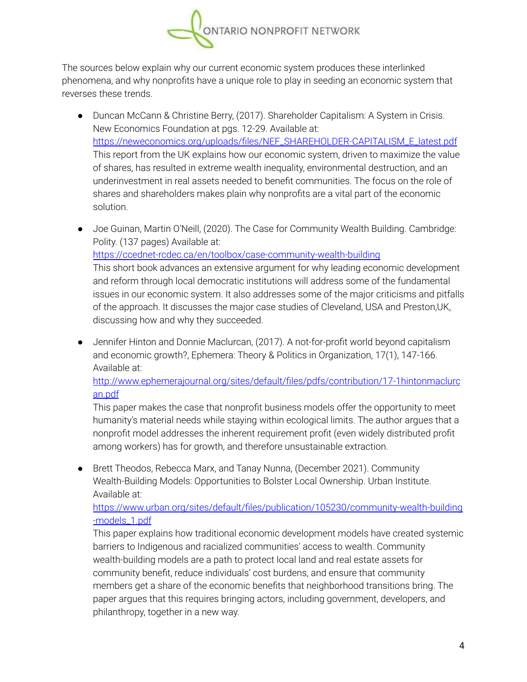

The sources below explain why our current economic system produces these interlinked phenomena, and why nonprofits have a unique role to play in seeding an economic system that reverses these trends.

- Duncan McCann & Christine Berry, (2017). Shareholder Capitalism: A System in Crisis. New Economics Foundation at pgs. 12-29. Available at: [https://neweconomics.org/uploads/files/NEF\\_SHAREHOLDER-CAPITALISM\\_E\\_latest.pdf](https://neweconomics.org/uploads/files/NEF_SHAREHOLDER-CAPITALISM_E_latest.pdf) This report from the UK explains how our economic system, driven to maximize the value of shares, has resulted in extreme wealth inequality, environmental destruction, and an underinvestment in real assets needed to benefit communities. The focus on the role of shares and shareholders makes plain why nonprofits are a vital part of the economic solution.
- Joe Guinan, Martin O'Neill, (2020). The Case for Community Wealth Building. Cambridge: Polity. (137 pages) Available at: <https://ccednet-rcdec.ca/en/toolbox/case-community-wealth-building> This short book advances an extensive argument for why leading economic development and reform through local democratic institutions will address some of the fundamental issues in our economic system. It also addresses some of the major criticisms and pitfalls of the approach. It discusses the major case studies of Cleveland, USA and Preston,UK, discussing how and why they succeeded.
- Jennifer Hinton and Donnie Maclurcan, (2017). A not-for-profit world beyond capitalism and economic growth?, Ephemera: Theory & Politics in Organization, 17(1), 147-166. Available at:

[http://www.ephemerajournal.org/sites/default/files/pdfs/contribution/17-1hintonmaclurc](http://www.ephemerajournal.org/sites/default/files/pdfs/contribution/17-1hintonmaclurcan.pdf) [an.pdf](http://www.ephemerajournal.org/sites/default/files/pdfs/contribution/17-1hintonmaclurcan.pdf)

This paper makes the case that nonprofit business models offer the opportunity to meet humanity's material needs while staying within ecological limits. The author argues that a nonprofit model addresses the inherent requirement profit (even widely distributed profit among workers) has for growth, and therefore unsustainable extraction.

● Brett Theodos, Rebecca Marx, and Tanay Nunna, (December 2021). Community Wealth-Building Models: Opportunities to Bolster Local Ownership. Urban Institute. Available at:

[https://www.urban.org/sites/default/files/publication/105230/community-wealth-building](https://www.urban.org/sites/default/files/publication/105230/community-wealth-building-models_1.pdf) [-models\\_1.pdf](https://www.urban.org/sites/default/files/publication/105230/community-wealth-building-models_1.pdf)

This paper explains how traditional economic development models have created systemic barriers to Indigenous and racialized communities' access to wealth. Community wealth-building models are a path to protect local land and real estate assets for community benefit, reduce individuals' cost burdens, and ensure that community members get a share of the economic benefits that neighborhood transitions bring. The paper argues that this requires bringing actors, including government, developers, and philanthropy, together in a new way.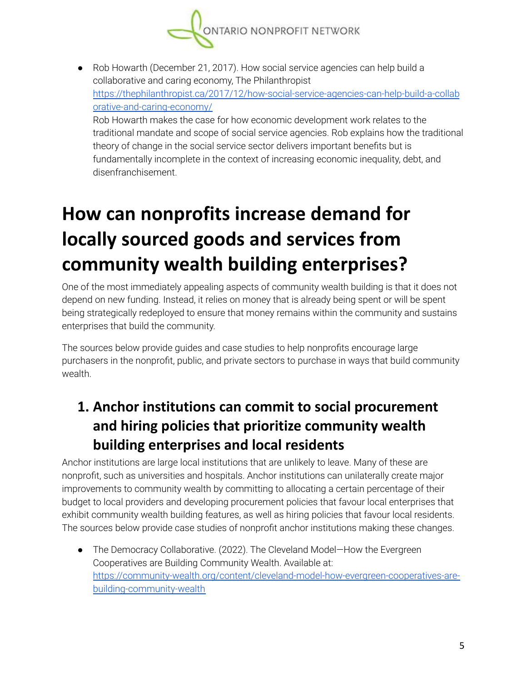

● Rob Howarth (December 21, 2017). How social service agencies can help build a collaborative and caring economy, The Philanthropist [https://thephilanthropist.ca/2017/12/how-social-service-agencies-can-help-build-a-collab](https://thephilanthropist.ca/2017/12/how-social-service-agencies-can-help-build-a-collaborative-and-caring-economy/) [orative-and-caring-economy/](https://thephilanthropist.ca/2017/12/how-social-service-agencies-can-help-build-a-collaborative-and-caring-economy/)

Rob Howarth makes the case for how economic development work relates to the traditional mandate and scope of social service agencies. Rob explains how the traditional theory of change in the social service sector delivers important benefits but is fundamentally incomplete in the context of increasing economic inequality, debt, and disenfranchisement.

# **How can nonprofits increase demand for locally sourced goods and services from community wealth building enterprises?**

One of the most immediately appealing aspects of community wealth building is that it does not depend on new funding. Instead, it relies on money that is already being spent or will be spent being strategically redeployed to ensure that money remains within the community and sustains enterprises that build the community.

The sources below provide guides and case studies to help nonprofits encourage large purchasers in the nonprofit, public, and private sectors to purchase in ways that build community wealth.

#### **1. Anchor institutions can commit to social procurement and hiring policies that prioritize community wealth building enterprises and local residents**

Anchor institutions are large local institutions that are unlikely to leave. Many of these are nonprofit, such as universities and hospitals. Anchor institutions can unilaterally create major improvements to community wealth by committing to allocating a certain percentage of their budget to local providers and developing procurement policies that favour local enterprises that exhibit community wealth building features, as well as hiring policies that favour local residents. The sources below provide case studies of nonprofit anchor institutions making these changes.

● The Democracy Collaborative. (2022). The Cleveland Model—How the Evergreen Cooperatives are Building Community Wealth. Available at: [https://community-wealth.org/content/cleveland-model-how-evergreen-cooperatives-are](https://community-wealth.org/content/cleveland-model-how-evergreen-cooperatives-are-building-community-wealth)[building-community-wealth](https://community-wealth.org/content/cleveland-model-how-evergreen-cooperatives-are-building-community-wealth)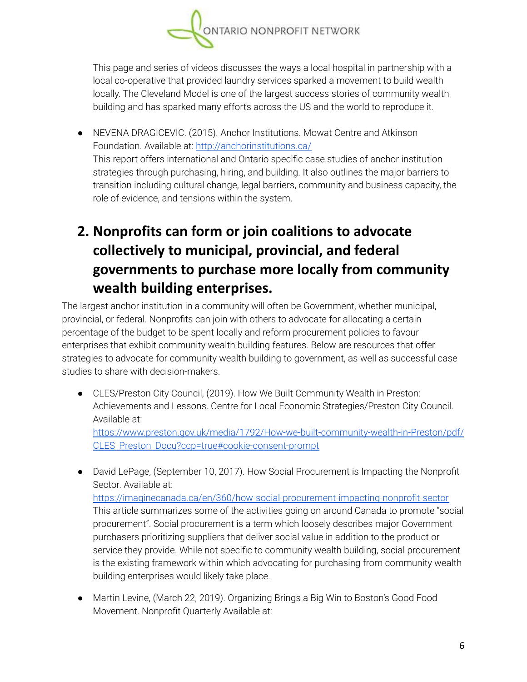

This page and series of videos discusses the ways a local hospital in partnership with a local co-operative that provided laundry services sparked a movement to build wealth locally. The Cleveland Model is one of the largest success stories of community wealth building and has sparked many efforts across the US and the world to reproduce it.

● NEVENA DRAGICEVIC. (2015). Anchor Institutions. Mowat Centre and Atkinson Foundation. Available at: <http://anchorinstitutions.ca/> This report offers international and Ontario specific case studies of anchor institution strategies through purchasing, hiring, and building. It also outlines the major barriers to transition including cultural change, legal barriers, community and business capacity, the role of evidence, and tensions within the system.

## **2. Nonprofits can form or join coalitions to advocate collectively to municipal, provincial, and federal governments to purchase more locally from community wealth building enterprises.**

The largest anchor institution in a community will often be Government, whether municipal, provincial, or federal. Nonprofits can join with others to advocate for allocating a certain percentage of the budget to be spent locally and reform procurement policies to favour enterprises that exhibit community wealth building features. Below are resources that offer strategies to advocate for community wealth building to government, as well as successful case studies to share with decision-makers.

● CLES/Preston City Council, (2019). How We Built Community Wealth in Preston: Achievements and Lessons. Centre for Local Economic Strategies/Preston City Council. Available at:

[https://www.preston.gov.uk/media/1792/How-we-built-community-wealth-in-Preston/pdf/](https://www.preston.gov.uk/media/1792/How-we-built-community-wealth-in-Preston/pdf/CLES_Preston_Docu?ccp=true#cookie-consent-prompt) [CLES\\_Preston\\_Docu?ccp=true#cookie-consent-prompt](https://www.preston.gov.uk/media/1792/How-we-built-community-wealth-in-Preston/pdf/CLES_Preston_Docu?ccp=true#cookie-consent-prompt)

- David LePage, (September 10, 2017). How Social Procurement is Impacting the Nonprofit Sector. Available at: <https://imaginecanada.ca/en/360/how-social-procurement-impacting-nonprofit-sector> This article summarizes some of the activities going on around Canada to promote "social procurement". Social procurement is a term which loosely describes major Government purchasers prioritizing suppliers that deliver social value in addition to the product or service they provide. While not specific to community wealth building, social procurement is the existing framework within which advocating for purchasing from community wealth building enterprises would likely take place.
- Martin Levine, (March 22, 2019). Organizing Brings a Big Win to Boston's Good Food Movement. Nonprofit Quarterly Available at: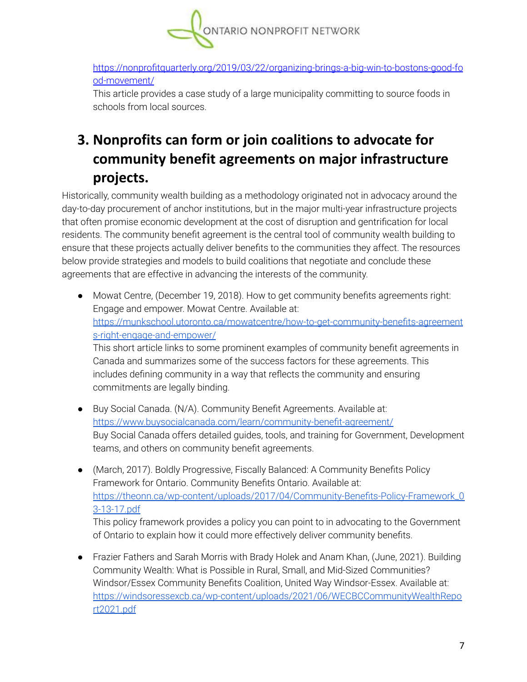

[https://nonprofitquarterly.org/2019/03/22/organizing-brings-a-big-win-to-bostons-good-fo](https://nonprofitquarterly.org/2019/03/22/organizing-brings-a-big-win-to-bostons-good-food-movement/) [od-movement/](https://nonprofitquarterly.org/2019/03/22/organizing-brings-a-big-win-to-bostons-good-food-movement/)

This article provides a case study of a large municipality committing to source foods in schools from local sources.

## **3. Nonprofits can form or join coalitions to advocate for community benefit agreements on major infrastructure projects.**

Historically, community wealth building as a methodology originated not in advocacy around the day-to-day procurement of anchor institutions, but in the major multi-year infrastructure projects that often promise economic development at the cost of disruption and gentrification for local residents. The community benefit agreement is the central tool of community wealth building to ensure that these projects actually deliver benefits to the communities they affect. The resources below provide strategies and models to build coalitions that negotiate and conclude these agreements that are effective in advancing the interests of the community.

- Mowat Centre, (December 19, 2018). How to get community benefits agreements right: Engage and empower. Mowat Centre. Available at: [https://munkschool.utoronto.ca/mowatcentre/how-to-get-community-benefits-agreement](https://munkschool.utoronto.ca/mowatcentre/how-to-get-community-benefits-agreements-right-engage-and-empower/) [s-right-engage-and-empower/](https://munkschool.utoronto.ca/mowatcentre/how-to-get-community-benefits-agreements-right-engage-and-empower/) This short article links to some prominent examples of community benefit agreements in Canada and summarizes some of the success factors for these agreements. This includes defining community in a way that reflects the community and ensuring commitments are legally binding.
- Buy Social Canada. (N/A). Community Benefit Agreements. Available at: <https://www.buysocialcanada.com/learn/community-benefit-agreement/> Buy Social Canada offers detailed guides, tools, and training for Government, Development teams, and others on community benefit agreements.
- (March, 2017). Boldly Progressive, Fiscally Balanced: A Community Benefits Policy Framework for Ontario. Community Benefits Ontario. Available at: [https://theonn.ca/wp-content/uploads/2017/04/Community-Benefits-Policy-Framework\\_0](https://theonn.ca/wp-content/uploads/2017/04/Community-Benefits-Policy-Framework_03-13-17.pdf) [3-13-17.pdf](https://theonn.ca/wp-content/uploads/2017/04/Community-Benefits-Policy-Framework_03-13-17.pdf)

This policy framework provides a policy you can point to in advocating to the Government of Ontario to explain how it could more effectively deliver community benefits.

● Frazier Fathers and Sarah Morris with Brady Holek and Anam Khan, (June, 2021). Building Community Wealth: What is Possible in Rural, Small, and Mid-Sized Communities? Windsor/Essex Community Benefits Coalition, United Way Windsor-Essex. Available at: [https://windsoressexcb.ca/wp-content/uploads/2021/06/WECBCCommunityWealthRepo](https://windsoressexcb.ca/wp-content/uploads/2021/06/WECBCCommunityWealthReport2021.pdf) [rt2021.pdf](https://windsoressexcb.ca/wp-content/uploads/2021/06/WECBCCommunityWealthReport2021.pdf)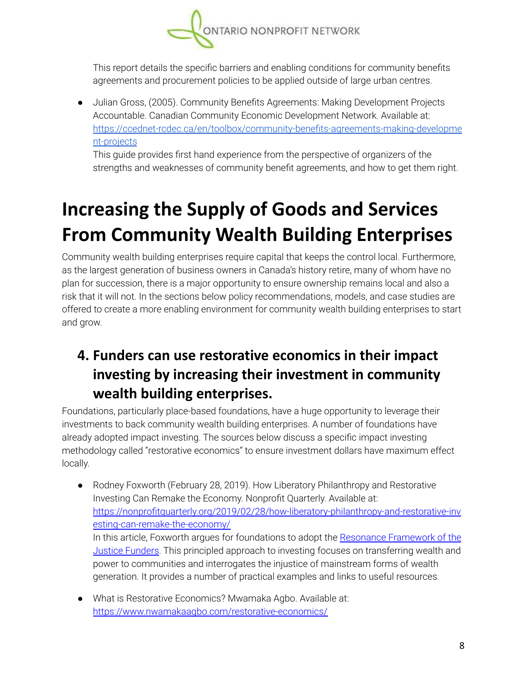

This report details the specific barriers and enabling conditions for community benefits agreements and procurement policies to be applied outside of large urban centres.

● Julian Gross, (2005). Community Benefits Agreements: Making Development Projects Accountable. Canadian Community Economic Development Network. Available at: [https://ccednet-rcdec.ca/en/toolbox/community-benefits-agreements-making-developme](https://ccednet-rcdec.ca/en/toolbox/community-benefits-agreements-making-development-projects) [nt-projects](https://ccednet-rcdec.ca/en/toolbox/community-benefits-agreements-making-development-projects)

This guide provides first hand experience from the perspective of organizers of the strengths and weaknesses of community benefit agreements, and how to get them right.

# **Increasing the Supply of Goods and Services From Community Wealth Building Enterprises**

Community wealth building enterprises require capital that keeps the control local. Furthermore, as the largest generation of business owners in Canada's history retire, many of whom have no plan for succession, there is a major opportunity to ensure ownership remains local and also a risk that it will not. In the sections below policy recommendations, models, and case studies are offered to create a more enabling environment for community wealth building enterprises to start and grow.

## **4. Funders can use restorative economics in their impact investing by increasing their investment in community wealth building enterprises.**

Foundations, particularly place-based foundations, have a huge opportunity to leverage their investments to back community wealth building enterprises. A number of foundations have already adopted impact investing. The sources below discuss a specific impact investing methodology called "restorative economics" to ensure investment dollars have maximum effect locally.

- Rodney Foxworth (February 28, 2019). How Liberatory Philanthropy and Restorative Investing Can Remake the Economy. Nonprofit Quarterly. Available at: [https://nonprofitquarterly.org/2019/02/28/how-liberatory-philanthropy-and-restorative-inv](https://nonprofitquarterly.org/2019/02/28/how-liberatory-philanthropy-and-restorative-investing-can-remake-the-economy/?utm_source=NPQ+Newsletters&utm_campaign=03398675af-EMAIL_CAMPAIGN_2018_01_11_COPY_01&utm_medium=email&utm_term=0_94063a1d17-03398675af-12440049&mc_cid=03398675af&mc_eid=15ae371b52) [esting-can-remake-the-economy/](https://nonprofitquarterly.org/2019/02/28/how-liberatory-philanthropy-and-restorative-investing-can-remake-the-economy/?utm_source=NPQ+Newsletters&utm_campaign=03398675af-EMAIL_CAMPAIGN_2018_01_11_COPY_01&utm_medium=email&utm_term=0_94063a1d17-03398675af-12440049&mc_cid=03398675af&mc_eid=15ae371b52) In this article, Foxworth argues for foundations to adopt the Resonance [Framework](http://justicefunders.org/resonance/executive-summary/) of the Justice [Funders.](http://justicefunders.org/resonance/executive-summary/) This principled approach to investing focuses on transferring wealth and power to communities and interrogates the injustice of mainstream forms of wealth generation. It provides a number of practical examples and links to useful resources.
- What is Restorative Economics? Mwamaka Agbo. Available at: <https://www.nwamakaagbo.com/restorative-economics/>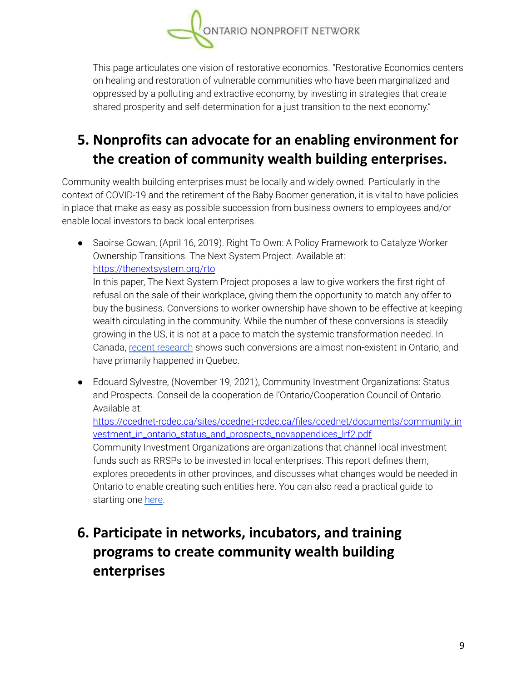

This page articulates one vision of restorative economics. "Restorative Economics centers on healing and restoration of vulnerable communities who have been marginalized and oppressed by a polluting and extractive economy, by investing in strategies that create shared prosperity and self-determination for a just transition to the next economy."

## **5. Nonprofits can advocate for an enabling environment for the creation of community wealth building enterprises.**

Community wealth building enterprises must be locally and widely owned. Particularly in the context of COVID-19 and the retirement of the Baby Boomer generation, it is vital to have policies in place that make as easy as possible succession from business owners to employees and/or enable local investors to back local enterprises.

● Saoirse Gowan, (April 16, 2019). Right To Own: A Policy Framework to Catalyze Worker Ownership Transitions. The Next System Project. Available at: <https://thenextsystem.org/rto>

In this paper, The Next System Project proposes a law to give workers the first right of refusal on the sale of their workplace, giving them the opportunity to match any offer to buy the business. Conversions to worker ownership have shown to be effective at keeping wealth circulating in the community. While the number of these conversions is steadily growing in the US, it is not at a pace to match the systemic transformation needed. In Canada, recent [research](https://anserj.ca/index.php/cjnser/article/view/550) shows such conversions are almost non-existent in Ontario, and have primarily happened in Quebec.

● Edouard Sylvestre, (November 19, 2021), Community Investment Organizations: Status and Prospects. Conseil de la cooperation de l'Ontario/Cooperation Council of Ontario. Available at:

[https://ccednet-rcdec.ca/sites/ccednet-rcdec.ca/files/ccednet/documents/community\\_in](https://ccednet-rcdec.ca/sites/ccednet-rcdec.ca/files/ccednet/documents/community_investment_in_ontario_status_and_prospects_novappendices_lrf2.pdf) [vestment\\_in\\_ontario\\_status\\_and\\_prospects\\_novappendices\\_lrf2.pdf](https://ccednet-rcdec.ca/sites/ccednet-rcdec.ca/files/ccednet/documents/community_investment_in_ontario_status_and_prospects_novappendices_lrf2.pdf)

Community Investment Organizations are organizations that channel local investment funds such as RRSPs to be invested in local enterprises. This report defines them, explores precedents in other provinces, and discusses what changes would be needed in Ontario to enable creating such entities here. You can also read a practical guide to starting one [here](https://d3n8a8pro7vhmx.cloudfront.net/coopontariofr/pages/13/attachments/original/1637164393/CIC-Start-up-Guide_Ontario_nov_full_v2.pdf?1637164393).

#### **6. Participate in networks, incubators, and training programs to create community wealth building enterprises**